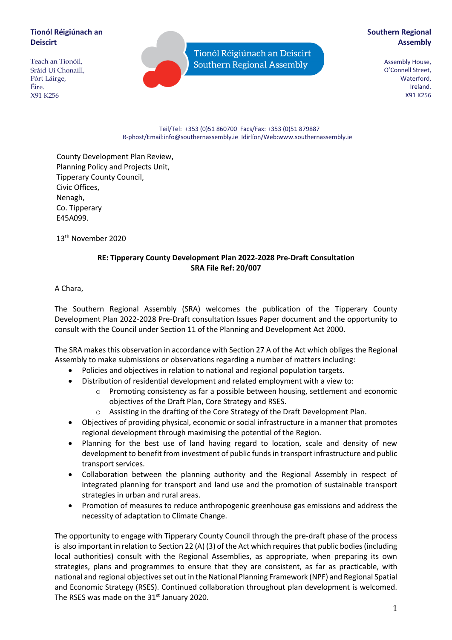## **Tionól Réigiúnach an Deiscirt**

Teach an Tionóil, Sráid Uí Chonaill, Pórt Láirge, Éire. X91 K256

Tionól Réigiúnach an Deiscirt Southern Regional Assembly

# **Southern Regional Assembly**

Assembly House, O'Connell Street, Waterford, Ireland. X91 K256

#### Teil/Tel: +353 (0)51 860700 Facs/Fax: +353 (0)51 879887 R-phost/Email:info@southernassembly.ie Idirlíon/Web:www.southernassembly.ie

County Development Plan Review, Planning Policy and Projects Unit, Tipperary County Council, Civic Offices, Nenagh, Co. Tipperary E45A099.

13th November 2020

### **RE: Tipperary County Development Plan 2022-2028 Pre-Draft Consultation SRA File Ref: 20/007**

A Chara,

The Southern Regional Assembly (SRA) welcomes the publication of the Tipperary County Development Plan 2022-2028 Pre-Draft consultation Issues Paper document and the opportunity to consult with the Council under Section 11 of the Planning and Development Act 2000.

The SRA makes this observation in accordance with Section 27 A of the Act which obliges the Regional Assembly to make submissions or observations regarding a number of matters including:

- Policies and objectives in relation to national and regional population targets.
- Distribution of residential development and related employment with a view to:
	- $\circ$  Promoting consistency as far a possible between housing, settlement and economic objectives of the Draft Plan, Core Strategy and RSES.
	- o Assisting in the drafting of the Core Strategy of the Draft Development Plan.
- Objectives of providing physical, economic or social infrastructure in a manner that promotes regional development through maximising the potential of the Region.
- Planning for the best use of land having regard to location, scale and density of new development to benefit from investment of public funds in transport infrastructure and public transport services.
- Collaboration between the planning authority and the Regional Assembly in respect of integrated planning for transport and land use and the promotion of sustainable transport strategies in urban and rural areas.
- Promotion of measures to reduce anthropogenic greenhouse gas emissions and address the necessity of adaptation to Climate Change.

The opportunity to engage with Tipperary County Council through the pre-draft phase of the process is also important in relation to Section 22 (A) (3) of the Act which requires that public bodies (including local authorities) consult with the Regional Assemblies, as appropriate, when preparing its own strategies, plans and programmes to ensure that they are consistent, as far as practicable, with national and regional objectives set out in the National Planning Framework (NPF) and Regional Spatial and Economic Strategy (RSES). Continued collaboration throughout plan development is welcomed. The RSES was made on the 31<sup>st</sup> January 2020.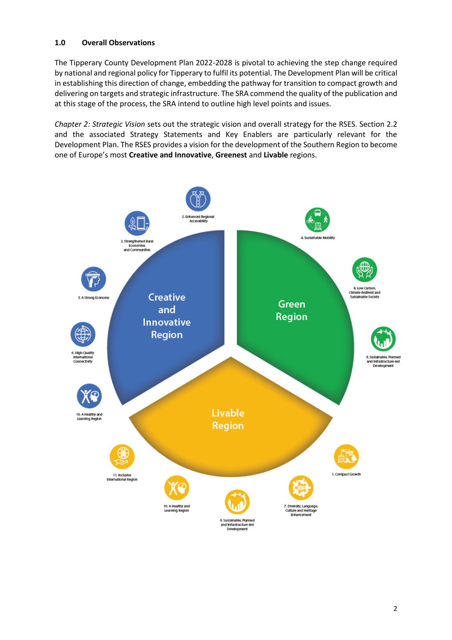### **1.0 Overall Observations**

The Tipperary County Development Plan 2022-2028 is pivotal to achieving the step change required by national and regional policy for Tipperary to fulfil its potential. The Development Plan will be critical in establishing this direction of change, embedding the pathway for transition to compact growth and delivering on targets and strategic infrastructure. The SRA commend the quality of the publication and at this stage of the process, the SRA intend to outline high level points and issues.

*Chapter 2: Strategic Vision* sets out the strategic vision and overall strategy for the RSES. Section 2.2 and the associated Strategy Statements and Key Enablers are particularly relevant for the Development Plan. The RSES provides a vision for the development of the Southern Region to become one of Europe's most **Creative and Innovative**, **Greenest** and **Livable** regions.

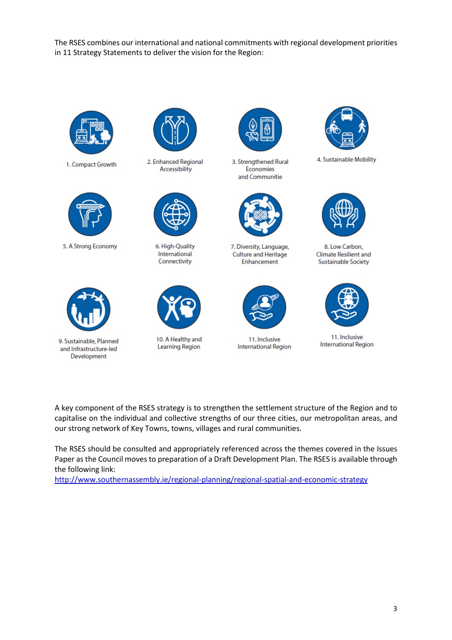The RSES combines our international and national commitments with regional development priorities in 11 Strategy Statements to deliver the vision for the Region:



1. Compact Growth



5. A Strong Economy



9. Sustainable, Planned and Infrastructure-led Development



2. Enhanced Regional Accessibility



6. High-Quality International Connectivity



10. A Healthy and **Learning Region** 



3. Strengthened Rural Economies and Communitie



7. Diversity, Language, Culture and Heritage Enhancement



11. Inclusive **International Region** 



4. Sustainable Mobility



8. Low Carbon, **Climate Resilient and Sustainable Society** 



11. Inclusive **International Region** 

A key component of the RSES strategy is to strengthen the settlement structure of the Region and to capitalise on the individual and collective strengths of our three cities, our metropolitan areas, and our strong network of Key Towns, towns, villages and rural communities.

The RSES should be consulted and appropriately referenced across the themes covered in the Issues Paper as the Council moves to preparation of a Draft Development Plan. The RSES is available through the following link:

<http://www.southernassembly.ie/regional-planning/regional-spatial-and-economic-strategy>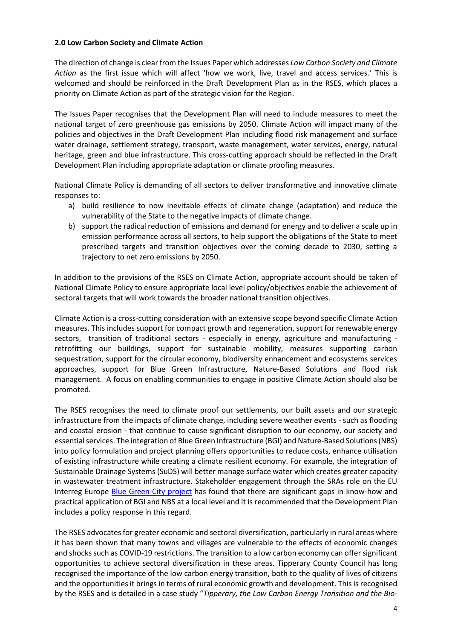#### **2.0 Low Carbon Society and Climate Action**

The direction of change is clear from the Issues Paper which addresses *Low Carbon Society and Climate Action* as the first issue which will affect 'how we work, live, travel and access services.' This is welcomed and should be reinforced in the Draft Development Plan as in the RSES, which places a priority on Climate Action as part of the strategic vision for the Region.

The Issues Paper recognises that the Development Plan will need to include measures to meet the national target of zero greenhouse gas emissions by 2050. Climate Action will impact many of the policies and objectives in the Draft Development Plan including flood risk management and surface water drainage, settlement strategy, transport, waste management, water services, energy, natural heritage, green and blue infrastructure. This cross-cutting approach should be reflected in the Draft Development Plan including appropriate adaptation or climate proofing measures.

National Climate Policy is demanding of all sectors to deliver transformative and innovative climate responses to:

- a) build resilience to now inevitable effects of climate change (adaptation) and reduce the vulnerability of the State to the negative impacts of climate change.
- b) support the radical reduction of emissions and demand for energy and to deliver a scale up in emission performance across all sectors, to help support the obligations of the State to meet prescribed targets and transition objectives over the coming decade to 2030, setting a trajectory to net zero emissions by 2050.

In addition to the provisions of the RSES on Climate Action, appropriate account should be taken of National Climate Policy to ensure appropriate local level policy/objectives enable the achievement of sectoral targets that will work towards the broader national transition objectives.

Climate Action is a cross-cutting consideration with an extensive scope beyond specific Climate Action measures. This includes support for compact growth and regeneration, support for renewable energy sectors, transition of traditional sectors - especially in energy, agriculture and manufacturing retrofitting our buildings, support for sustainable mobility, measures supporting carbon sequestration, support for the circular economy, biodiversity enhancement and ecosystems services approaches, support for Blue Green Infrastructure, Nature-Based Solutions and flood risk management. A focus on enabling communities to engage in positive Climate Action should also be promoted.

The RSES recognises the need to climate proof our settlements, our built assets and our strategic infrastructure from the impacts of climate change, including severe weather events - such as flooding and coastal erosion - that continue to cause significant disruption to our economy, our society and essential services. The integration of Blue Green Infrastructure (BGI) and Nature-Based Solutions(NBS) into policy formulation and project planning offers opportunities to reduce costs, enhance utilisation of existing infrastructure while creating a climate resilient economy. For example, the integration of Sustainable Drainage Systems (SuDS) will better manage surface water which creates greater capacity in wastewater treatment infrastructure. Stakeholder engagement through the SRAs role on the EU Interreg Europe [Blue Green City project](https://www.interregeurope.eu/bluegreencity/) has found that there are significant gaps in know-how and practical application of BGI and NBS at a local level and it is recommended that the Development Plan includes a policy response in this regard.

The RSES advocates for greater economic and sectoral diversification, particularly in rural areas where it has been shown that many towns and villages are vulnerable to the effects of economic changes and shocks such as COVID-19 restrictions. The transition to a low carbon economy can offer significant opportunities to achieve sectoral diversification in these areas. Tipperary County Council has long recognised the importance of the low carbon energy transition, both to the quality of lives of citizens and the opportunities it brings in terms of rural economic growth and development. This is recognised by the RSES and is detailed in a case study "*Tipperary, the Low Carbon Energy Transition and the Bio-*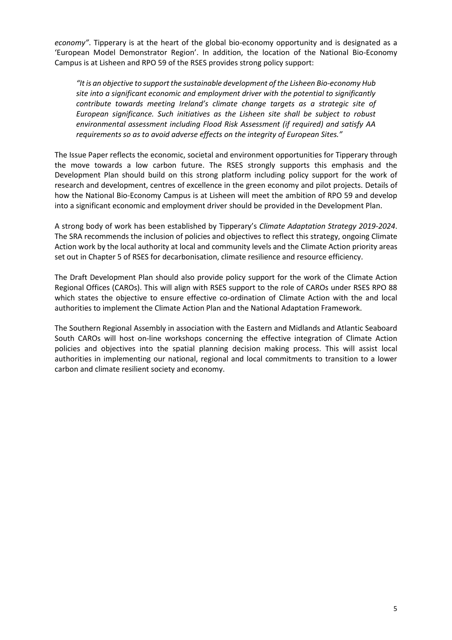*economy"*. Tipperary is at the heart of the global bio-economy opportunity and is designated as a 'European Model Demonstrator Region'. In addition, the location of the National Bio-Economy Campus is at Lisheen and RPO 59 of the RSES provides strong policy support:

*"It is an objective to support the sustainable development of the Lisheen Bio-economy Hub site into a significant economic and employment driver with the potential to significantly contribute towards meeting Ireland's climate change targets as a strategic site of European significance. Such initiatives as the Lisheen site shall be subject to robust environmental assessment including Flood Risk Assessment (if required) and satisfy AA requirements so as to avoid adverse effects on the integrity of European Sites."*

The Issue Paper reflects the economic, societal and environment opportunities for Tipperary through the move towards a low carbon future. The RSES strongly supports this emphasis and the Development Plan should build on this strong platform including policy support for the work of research and development, centres of excellence in the green economy and pilot projects. Details of how the National Bio-Economy Campus is at Lisheen will meet the ambition of RPO 59 and develop into a significant economic and employment driver should be provided in the Development Plan.

A strong body of work has been established by Tipperary's *Climate Adaptation Strategy 2019-2024*. The SRA recommends the inclusion of policies and objectives to reflect this strategy, ongoing Climate Action work by the local authority at local and community levels and the Climate Action priority areas set out in Chapter 5 of RSES for decarbonisation, climate resilience and resource efficiency.

The Draft Development Plan should also provide policy support for the work of the Climate Action Regional Offices (CAROs). This will align with RSES support to the role of CAROs under RSES RPO 88 which states the objective to ensure effective co-ordination of Climate Action with the and local authorities to implement the Climate Action Plan and the National Adaptation Framework.

The Southern Regional Assembly in association with the Eastern and Midlands and Atlantic Seaboard South CAROs will host on-line workshops concerning the effective integration of Climate Action policies and objectives into the spatial planning decision making process. This will assist local authorities in implementing our national, regional and local commitments to transition to a lower carbon and climate resilient society and economy.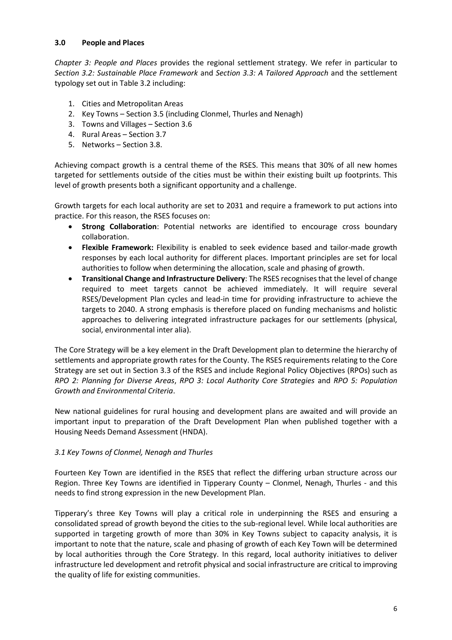### **3.0 People and Places**

*Chapter 3: People and Places* provides the regional settlement strategy. We refer in particular to *Section 3.2: Sustainable Place Framework* and *Section 3.3: A Tailored Approach* and the settlement typology set out in Table 3.2 including:

- 1. Cities and Metropolitan Areas
- 2. Key Towns Section 3.5 (including Clonmel, Thurles and Nenagh)
- 3. Towns and Villages Section 3.6
- 4. Rural Areas Section 3.7
- 5. Networks Section 3.8.

Achieving compact growth is a central theme of the RSES. This means that 30% of all new homes targeted for settlements outside of the cities must be within their existing built up footprints. This level of growth presents both a significant opportunity and a challenge.

Growth targets for each local authority are set to 2031 and require a framework to put actions into practice. For this reason, the RSES focuses on:

- **Strong Collaboration**: Potential networks are identified to encourage cross boundary collaboration.
- **Flexible Framework:** Flexibility is enabled to seek evidence based and tailor-made growth responses by each local authority for different places. Important principles are set for local authorities to follow when determining the allocation, scale and phasing of growth.
- **Transitional Change and Infrastructure Delivery**: The RSES recognises that the level of change required to meet targets cannot be achieved immediately. It will require several RSES/Development Plan cycles and lead-in time for providing infrastructure to achieve the targets to 2040. A strong emphasis is therefore placed on funding mechanisms and holistic approaches to delivering integrated infrastructure packages for our settlements (physical, social, environmental inter alia).

The Core Strategy will be a key element in the Draft Development plan to determine the hierarchy of settlements and appropriate growth rates for the County. The RSES requirements relating to the Core Strategy are set out in Section 3.3 of the RSES and include Regional Policy Objectives (RPOs) such as *RPO 2: Planning for Diverse Areas*, *RPO 3: Local Authority Core Strategies* and *RPO 5: Population Growth and Environmental Criteria*.

New national guidelines for rural housing and development plans are awaited and will provide an important input to preparation of the Draft Development Plan when published together with a Housing Needs Demand Assessment (HNDA).

### *3.1 Key Towns of Clonmel, Nenagh and Thurles*

Fourteen Key Town are identified in the RSES that reflect the differing urban structure across our Region. Three Key Towns are identified in Tipperary County – Clonmel, Nenagh, Thurles - and this needs to find strong expression in the new Development Plan.

Tipperary's three Key Towns will play a critical role in underpinning the RSES and ensuring a consolidated spread of growth beyond the cities to the sub-regional level. While local authorities are supported in targeting growth of more than 30% in Key Towns subject to capacity analysis, it is important to note that the nature, scale and phasing of growth of each Key Town will be determined by local authorities through the Core Strategy. In this regard, local authority initiatives to deliver infrastructure led development and retrofit physical and social infrastructure are critical to improving the quality of life for existing communities.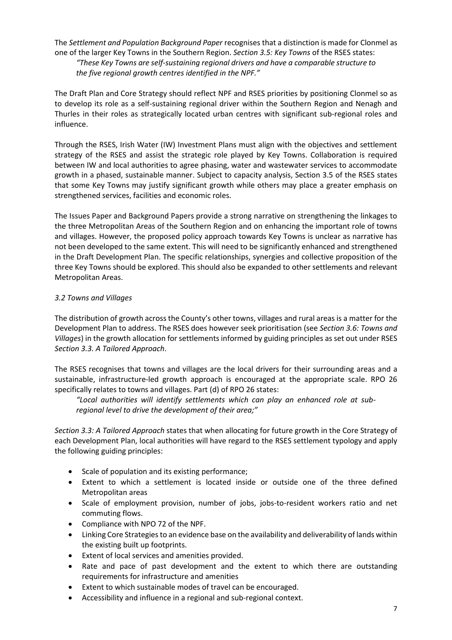The *Settlement and Population Background Paper* recognises that a distinction is made for Clonmel as one of the larger Key Towns in the Southern Region. *Section 3.5: Key Towns* of the RSES states: *"These Key Towns are self-sustaining regional drivers and have a comparable structure to the five regional growth centres identified in the NPF."*

The Draft Plan and Core Strategy should reflect NPF and RSES priorities by positioning Clonmel so as to develop its role as a self-sustaining regional driver within the Southern Region and Nenagh and Thurles in their roles as strategically located urban centres with significant sub-regional roles and influence.

Through the RSES, Irish Water (IW) Investment Plans must align with the objectives and settlement strategy of the RSES and assist the strategic role played by Key Towns. Collaboration is required between IW and local authorities to agree phasing, water and wastewater services to accommodate growth in a phased, sustainable manner. Subject to capacity analysis, Section 3.5 of the RSES states that some Key Towns may justify significant growth while others may place a greater emphasis on strengthened services, facilities and economic roles.

The Issues Paper and Background Papers provide a strong narrative on strengthening the linkages to the three Metropolitan Areas of the Southern Region and on enhancing the important role of towns and villages. However, the proposed policy approach towards Key Towns is unclear as narrative has not been developed to the same extent. This will need to be significantly enhanced and strengthened in the Draft Development Plan. The specific relationships, synergies and collective proposition of the three Key Towns should be explored. This should also be expanded to other settlements and relevant Metropolitan Areas.

### *3.2 Towns and Villages*

The distribution of growth across the County's other towns, villages and rural areas is a matter for the Development Plan to address. The RSES does however seek prioritisation (see *Section 3.6: Towns and Villages*) in the growth allocation for settlements informed by guiding principles as set out under RSES *Section 3.3. A Tailored Approach*.

The RSES recognises that towns and villages are the local drivers for their surrounding areas and a sustainable, infrastructure-led growth approach is encouraged at the appropriate scale. RPO 26 specifically relates to towns and villages. Part (d) of RPO 26 states:

*"Local authorities will identify settlements which can play an enhanced role at subregional level to drive the development of their area;"*

*Section 3.3: A Tailored Approach* states that when allocating for future growth in the Core Strategy of each Development Plan, local authorities will have regard to the RSES settlement typology and apply the following guiding principles:

- Scale of population and its existing performance;
- Extent to which a settlement is located inside or outside one of the three defined Metropolitan areas
- Scale of employment provision, number of jobs, jobs-to-resident workers ratio and net commuting flows.
- Compliance with NPO 72 of the NPF.
- Linking Core Strategies to an evidence base on the availability and deliverability of lands within the existing built up footprints.
- Extent of local services and amenities provided.
- Rate and pace of past development and the extent to which there are outstanding requirements for infrastructure and amenities
- Extent to which sustainable modes of travel can be encouraged.
- Accessibility and influence in a regional and sub-regional context.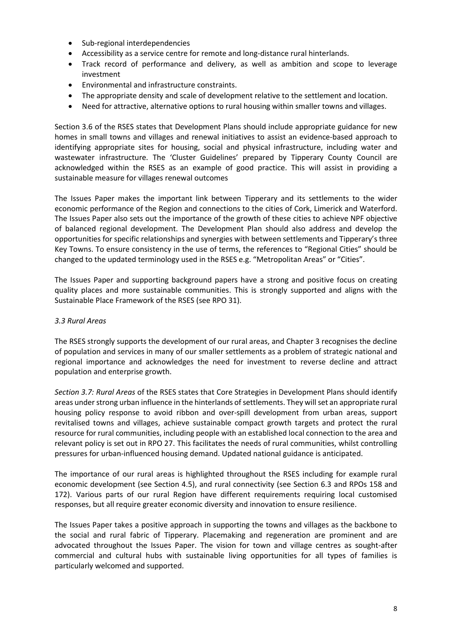- Sub-regional interdependencies
- Accessibility as a service centre for remote and long-distance rural hinterlands.
- Track record of performance and delivery, as well as ambition and scope to leverage investment
- Environmental and infrastructure constraints.
- The appropriate density and scale of development relative to the settlement and location.
- Need for attractive, alternative options to rural housing within smaller towns and villages.

Section 3.6 of the RSES states that Development Plans should include appropriate guidance for new homes in small towns and villages and renewal initiatives to assist an evidence-based approach to identifying appropriate sites for housing, social and physical infrastructure, including water and wastewater infrastructure. The 'Cluster Guidelines' prepared by Tipperary County Council are acknowledged within the RSES as an example of good practice. This will assist in providing a sustainable measure for villages renewal outcomes

The Issues Paper makes the important link between Tipperary and its settlements to the wider economic performance of the Region and connections to the cities of Cork, Limerick and Waterford. The Issues Paper also sets out the importance of the growth of these cities to achieve NPF objective of balanced regional development. The Development Plan should also address and develop the opportunities for specific relationships and synergies with between settlements and Tipperary's three Key Towns. To ensure consistency in the use of terms, the references to "Regional Cities" should be changed to the updated terminology used in the RSES e.g. "Metropolitan Areas" or "Cities".

The Issues Paper and supporting background papers have a strong and positive focus on creating quality places and more sustainable communities. This is strongly supported and aligns with the Sustainable Place Framework of the RSES (see RPO 31).

#### *3.3 Rural Areas*

The RSES strongly supports the development of our rural areas, and Chapter 3 recognises the decline of population and services in many of our smaller settlements as a problem of strategic national and regional importance and acknowledges the need for investment to reverse decline and attract population and enterprise growth.

*Section 3.7: Rural Areas* of the RSES states that Core Strategies in Development Plans should identify areas under strong urban influence in the hinterlands of settlements. They will set an appropriate rural housing policy response to avoid ribbon and over-spill development from urban areas, support revitalised towns and villages, achieve sustainable compact growth targets and protect the rural resource for rural communities, including people with an established local connection to the area and relevant policy is set out in RPO 27. This facilitates the needs of rural communities, whilst controlling pressures for urban-influenced housing demand. Updated national guidance is anticipated.

The importance of our rural areas is highlighted throughout the RSES including for example rural economic development (see Section 4.5), and rural connectivity (see Section 6.3 and RPOs 158 and 172). Various parts of our rural Region have different requirements requiring local customised responses, but all require greater economic diversity and innovation to ensure resilience.

The Issues Paper takes a positive approach in supporting the towns and villages as the backbone to the social and rural fabric of Tipperary. Placemaking and regeneration are prominent and are advocated throughout the Issues Paper. The vision for town and village centres as sought-after commercial and cultural hubs with sustainable living opportunities for all types of families is particularly welcomed and supported.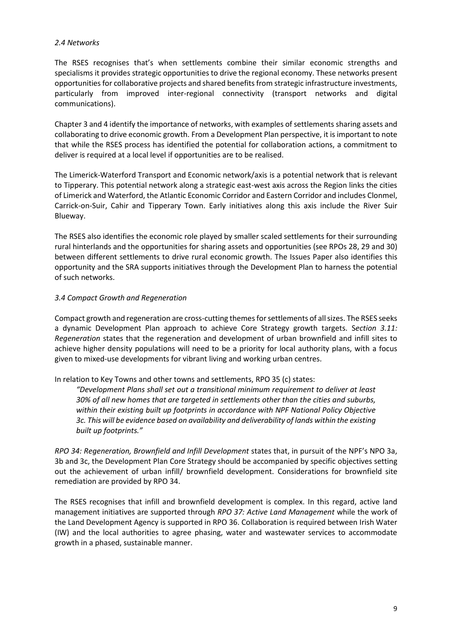#### *2.4 Networks*

The RSES recognises that's when settlements combine their similar economic strengths and specialisms it provides strategic opportunities to drive the regional economy. These networks present opportunities for collaborative projects and shared benefits from strategic infrastructure investments, particularly from improved inter-regional connectivity (transport networks and digital communications).

Chapter 3 and 4 identify the importance of networks, with examples of settlements sharing assets and collaborating to drive economic growth. From a Development Plan perspective, it is important to note that while the RSES process has identified the potential for collaboration actions, a commitment to deliver is required at a local level if opportunities are to be realised.

The Limerick-Waterford Transport and Economic network/axis is a potential network that is relevant to Tipperary. This potential network along a strategic east-west axis across the Region links the cities of Limerick and Waterford, the Atlantic Economic Corridor and Eastern Corridor and includes Clonmel, Carrick-on-Suir, Cahir and Tipperary Town. Early initiatives along this axis include the River Suir Blueway.

The RSES also identifies the economic role played by smaller scaled settlements for their surrounding rural hinterlands and the opportunities for sharing assets and opportunities (see RPOs 28, 29 and 30) between different settlements to drive rural economic growth. The Issues Paper also identifies this opportunity and the SRA supports initiatives through the Development Plan to harness the potential of such networks.

#### *3.4 Compact Growth and Regeneration*

Compact growth and regeneration are cross-cutting themesfor settlements of all sizes. The RSES seeks a dynamic Development Plan approach to achieve Core Strategy growth targets. S*ection 3.11: Regeneration* states that the regeneration and development of urban brownfield and infill sites to achieve higher density populations will need to be a priority for local authority plans, with a focus given to mixed-use developments for vibrant living and working urban centres.

In relation to Key Towns and other towns and settlements, RPO 35 (c) states:

*"Development Plans shall set out a transitional minimum requirement to deliver at least 30% of all new homes that are targeted in settlements other than the cities and suburbs, within their existing built up footprints in accordance with NPF National Policy Objective 3c. This will be evidence based on availability and deliverability of lands within the existing built up footprints."*

*RPO 34: Regeneration, Brownfield and Infill Development* states that, in pursuit of the NPF's NPO 3a, 3b and 3c, the Development Plan Core Strategy should be accompanied by specific objectives setting out the achievement of urban infill/ brownfield development. Considerations for brownfield site remediation are provided by RPO 34.

The RSES recognises that infill and brownfield development is complex. In this regard, active land management initiatives are supported through *RPO 37: Active Land Management* while the work of the Land Development Agency is supported in RPO 36. Collaboration is required between Irish Water (IW) and the local authorities to agree phasing, water and wastewater services to accommodate growth in a phased, sustainable manner.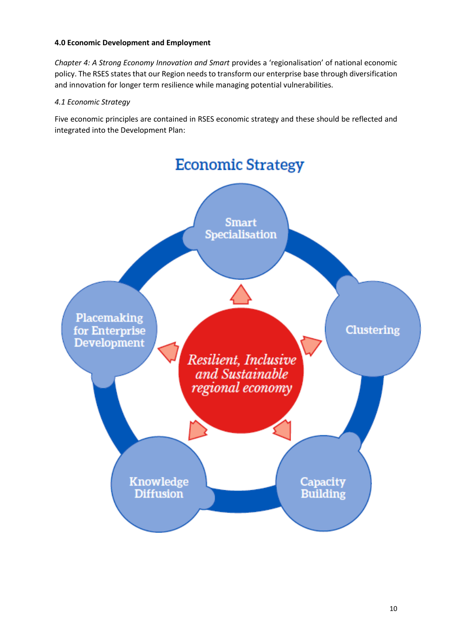#### **4.0 Economic Development and Employment**

*Chapter 4: A Strong Economy Innovation and Smart* provides a 'regionalisation' of national economic policy. The RSES states that our Region needs to transform our enterprise base through diversification and innovation for longer term resilience while managing potential vulnerabilities.

### *4.1 Economic Strategy*

Five economic principles are contained in RSES economic strategy and these should be reflected and integrated into the Development Plan:

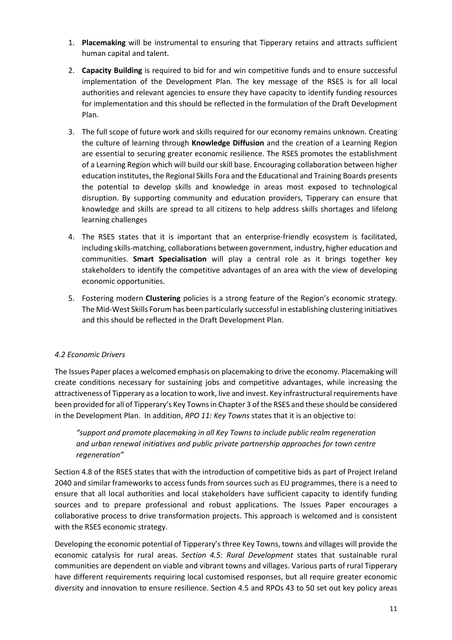- 1. **Placemaking** will be instrumental to ensuring that Tipperary retains and attracts sufficient human capital and talent.
- 2. **Capacity Building** is required to bid for and win competitive funds and to ensure successful implementation of the Development Plan. The key message of the RSES is for all local authorities and relevant agencies to ensure they have capacity to identify funding resources for implementation and this should be reflected in the formulation of the Draft Development Plan.
- 3. The full scope of future work and skills required for our economy remains unknown. Creating the culture of learning through **Knowledge Diffusion** and the creation of a Learning Region are essential to securing greater economic resilience. The RSES promotes the establishment of a Learning Region which will build our skill base. Encouraging collaboration between higher education institutes, the Regional Skills Fora and the Educational and Training Boards presents the potential to develop skills and knowledge in areas most exposed to technological disruption. By supporting community and education providers, Tipperary can ensure that knowledge and skills are spread to all citizens to help address skills shortages and lifelong learning challenges
- 4. The RSES states that it is important that an enterprise-friendly ecosystem is facilitated, including skills-matching, collaborations between government, industry, higher education and communities. **Smart Specialisation** will play a central role as it brings together key stakeholders to identify the competitive advantages of an area with the view of developing economic opportunities.
- 5. Fostering modern **Clustering** policies is a strong feature of the Region's economic strategy. The Mid-West Skills Forum has been particularly successful in establishing clustering initiatives and this should be reflected in the Draft Development Plan.

### *4.2 Economic Drivers*

The Issues Paper places a welcomed emphasis on placemaking to drive the economy. Placemaking will create conditions necessary for sustaining jobs and competitive advantages, while increasing the attractiveness of Tipperary as a location to work, live and invest. Key infrastructural requirements have been provided for all of Tipperary's Key Towns in Chapter 3 of the RSES and these should be considered in the Development Plan. In addition, *RPO 11: Key Towns* states that it is an objective to:

*"support and promote placemaking in all Key Towns to include public realm regeneration and urban renewal initiatives and public private partnership approaches for town centre regeneration"*

Section 4.8 of the RSES states that with the introduction of competitive bids as part of Project Ireland 2040 and similar frameworks to access funds from sources such as EU programmes, there is a need to ensure that all local authorities and local stakeholders have sufficient capacity to identify funding sources and to prepare professional and robust applications. The Issues Paper encourages a collaborative process to drive transformation projects. This approach is welcomed and is consistent with the RSES economic strategy.

Developing the economic potential of Tipperary's three Key Towns, towns and villages will provide the economic catalysis for rural areas. *Section 4.5: Rural Development* states that sustainable rural communities are dependent on viable and vibrant towns and villages. Various parts of rural Tipperary have different requirements requiring local customised responses, but all require greater economic diversity and innovation to ensure resilience. Section 4.5 and RPOs 43 to 50 set out key policy areas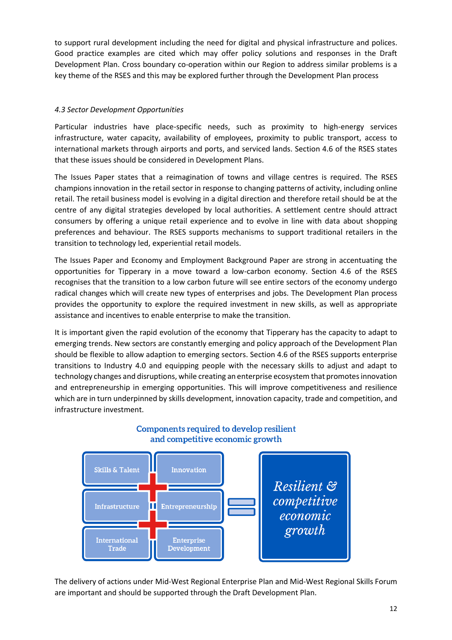to support rural development including the need for digital and physical infrastructure and polices. Good practice examples are cited which may offer policy solutions and responses in the Draft Development Plan. Cross boundary co-operation within our Region to address similar problems is a key theme of the RSES and this may be explored further through the Development Plan process

### *4.3 Sector Development Opportunities*

Particular industries have place-specific needs, such as proximity to high-energy services infrastructure, water capacity, availability of employees, proximity to public transport, access to international markets through airports and ports, and serviced lands. Section 4.6 of the RSES states that these issues should be considered in Development Plans.

The Issues Paper states that a reimagination of towns and village centres is required. The RSES champions innovation in the retail sector in response to changing patterns of activity, including online retail. The retail business model is evolving in a digital direction and therefore retail should be at the centre of any digital strategies developed by local authorities. A settlement centre should attract consumers by offering a unique retail experience and to evolve in line with data about shopping preferences and behaviour. The RSES supports mechanisms to support traditional retailers in the transition to technology led, experiential retail models.

The Issues Paper and Economy and Employment Background Paper are strong in accentuating the opportunities for Tipperary in a move toward a low-carbon economy. Section 4.6 of the RSES recognises that the transition to a low carbon future will see entire sectors of the economy undergo radical changes which will create new types of enterprises and jobs. The Development Plan process provides the opportunity to explore the required investment in new skills, as well as appropriate assistance and incentives to enable enterprise to make the transition.

It is important given the rapid evolution of the economy that Tipperary has the capacity to adapt to emerging trends. New sectors are constantly emerging and policy approach of the Development Plan should be flexible to allow adaption to emerging sectors. Section 4.6 of the RSES supports enterprise transitions to Industry 4.0 and equipping people with the necessary skills to adjust and adapt to technology changes and disruptions, while creating an enterprise ecosystem that promotes innovation and entrepreneurship in emerging opportunities. This will improve competitiveness and resilience which are in turn underpinned by skills development, innovation capacity, trade and competition, and infrastructure investment.



#### Components required to develop resilient and competitive economic growth

The delivery of actions under Mid-West Regional Enterprise Plan and Mid-West Regional Skills Forum are important and should be supported through the Draft Development Plan.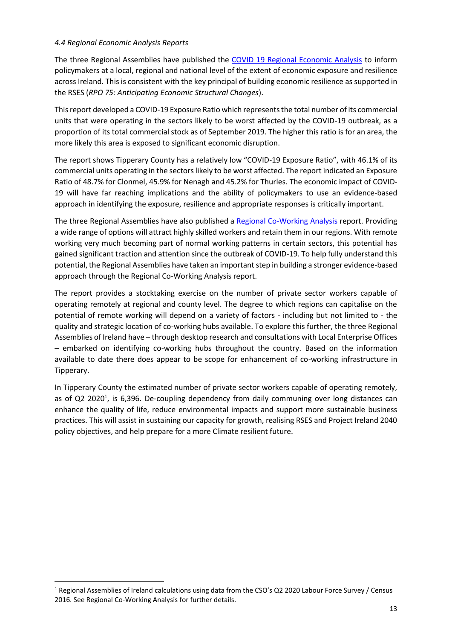#### *4.4 Regional Economic Analysis Reports*

The three Regional Assemblies have published the [COVID 19 Regional Economic Analysis](https://www.southernassembly.ie/uploads/general-files/CV19-Regional-Economic-Analysis.pdf) to inform policymakers at a local, regional and national level of the extent of economic exposure and resilience across Ireland. This is consistent with the key principal of building economic resilience as supported in the RSES (*RPO 75: Anticipating Economic Structural Changes*).

This report developed a COVID-19 Exposure Ratio which represents the total number of its commercial units that were operating in the sectors likely to be worst affected by the COVID-19 outbreak, as a proportion of its total commercial stock as of September 2019. The higher this ratio is for an area, the more likely this area is exposed to significant economic disruption.

The report shows Tipperary County has a relatively low "COVID-19 Exposure Ratio", with 46.1% of its commercial units operating in the sectors likely to be worst affected. The report indicated an Exposure Ratio of 48.7% for Clonmel, 45.9% for Nenagh and 45.2% for Thurles. The economic impact of COVID-19 will have far reaching implications and the ability of policymakers to use an evidence-based approach in identifying the exposure, resilience and appropriate responses is critically important.

The three Regional Assemblies have also published a [Regional Co-Working Analysis](http://www.southernassembly.ie/news/news-article/regional-co-working-analysis) report. Providing a wide range of options will attract highly skilled workers and retain them in our regions. With remote working very much becoming part of normal working patterns in certain sectors, this potential has gained significant traction and attention since the outbreak of COVID-19. To help fully understand this potential, the Regional Assemblies have taken an important step in building a stronger evidence-based approach through the Regional Co-Working Analysis report.

The report provides a stocktaking exercise on the number of private sector workers capable of operating remotely at regional and county level. The degree to which regions can capitalise on the potential of remote working will depend on a variety of factors - including but not limited to - the quality and strategic location of co-working hubs available. To explore this further, the three Regional Assemblies of Ireland have – through desktop research and consultations with Local Enterprise Offices – embarked on identifying co-working hubs throughout the country. Based on the information available to date there does appear to be scope for enhancement of co-working infrastructure in Tipperary.

In Tipperary County the estimated number of private sector workers capable of operating remotely, as of Q2 2020<sup>1</sup>, is 6,396. De-coupling dependency from daily communing over long distances can enhance the quality of life, reduce environmental impacts and support more sustainable business practices. This will assist in sustaining our capacity for growth, realising RSES and Project Ireland 2040 policy objectives, and help prepare for a more Climate resilient future.

<sup>1</sup> Regional Assemblies of Ireland calculations using data from the CSO's Q2 2020 Labour Force Survey / Census 2016. See Regional Co-Working Analysis for further details.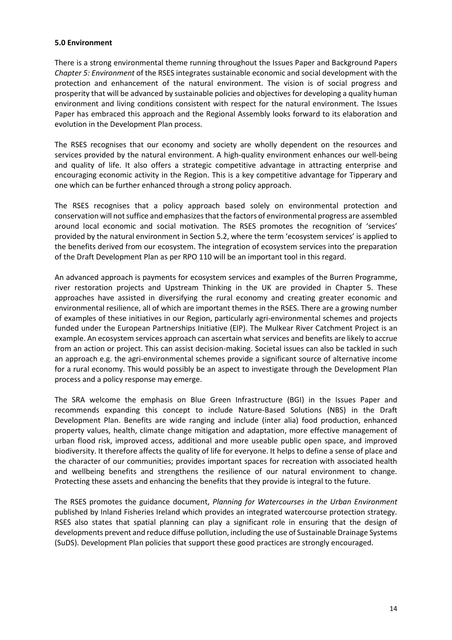#### **5.0 Environment**

There is a strong environmental theme running throughout the Issues Paper and Background Papers *Chapter 5: Environment* of the RSES integrates sustainable economic and social development with the protection and enhancement of the natural environment. The vision is of social progress and prosperity that will be advanced by sustainable policies and objectives for developing a quality human environment and living conditions consistent with respect for the natural environment. The Issues Paper has embraced this approach and the Regional Assembly looks forward to its elaboration and evolution in the Development Plan process.

The RSES recognises that our economy and society are wholly dependent on the resources and services provided by the natural environment. A high-quality environment enhances our well-being and quality of life. It also offers a strategic competitive advantage in attracting enterprise and encouraging economic activity in the Region. This is a key competitive advantage for Tipperary and one which can be further enhanced through a strong policy approach.

The RSES recognises that a policy approach based solely on environmental protection and conservation will not suffice and emphasizes that the factors of environmental progress are assembled around local economic and social motivation. The RSES promotes the recognition of 'services' provided by the natural environment in Section 5.2, where the term 'ecosystem services' is applied to the benefits derived from our ecosystem. The integration of ecosystem services into the preparation of the Draft Development Plan as per RPO 110 will be an important tool in this regard.

An advanced approach is payments for ecosystem services and examples of the Burren Programme, river restoration projects and Upstream Thinking in the UK are provided in Chapter 5. These approaches have assisted in diversifying the rural economy and creating greater economic and environmental resilience, all of which are important themes in the RSES. There are a growing number of examples of these initiatives in our Region, particularly agri-environmental schemes and projects funded under the European Partnerships Initiative (EIP). The Mulkear River Catchment Project is an example. An ecosystem services approach can ascertain what services and benefits are likely to accrue from an action or project. This can assist decision-making. Societal issues can also be tackled in such an approach e.g. the agri-environmental schemes provide a significant source of alternative income for a rural economy. This would possibly be an aspect to investigate through the Development Plan process and a policy response may emerge.

The SRA welcome the emphasis on Blue Green Infrastructure (BGI) in the Issues Paper and recommends expanding this concept to include Nature-Based Solutions (NBS) in the Draft Development Plan. Benefits are wide ranging and include (inter alia) food production, enhanced property values, health, climate change mitigation and adaptation, more effective management of urban flood risk, improved access, additional and more useable public open space, and improved biodiversity. It therefore affects the quality of life for everyone. It helps to define a sense of place and the character of our communities; provides important spaces for recreation with associated health and wellbeing benefits and strengthens the resilience of our natural environment to change. Protecting these assets and enhancing the benefits that they provide is integral to the future.

The RSES promotes the guidance document, *Planning for Watercourses in the Urban Environment* published by Inland Fisheries Ireland which provides an integrated watercourse protection strategy. RSES also states that spatial planning can play a significant role in ensuring that the design of developments prevent and reduce diffuse pollution, including the use of Sustainable Drainage Systems (SuDS). Development Plan policies that support these good practices are strongly encouraged.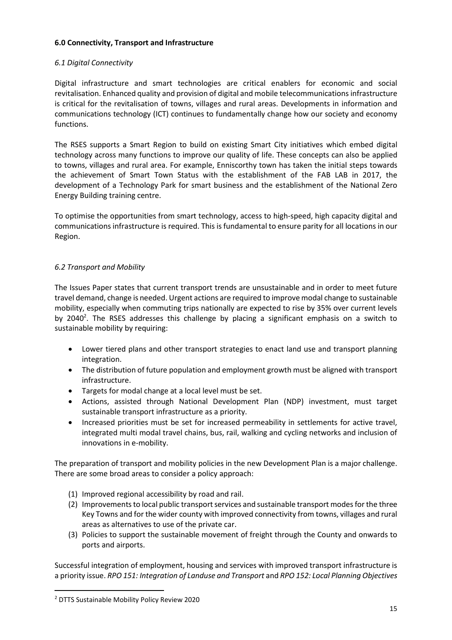### **6.0 Connectivity, Transport and Infrastructure**

### *6.1 Digital Connectivity*

Digital infrastructure and smart technologies are critical enablers for economic and social revitalisation. Enhanced quality and provision of digital and mobile telecommunications infrastructure is critical for the revitalisation of towns, villages and rural areas. Developments in information and communications technology (ICT) continues to fundamentally change how our society and economy functions.

The RSES supports a Smart Region to build on existing Smart City initiatives which embed digital technology across many functions to improve our quality of life. These concepts can also be applied to towns, villages and rural area. For example, Enniscorthy town has taken the initial steps towards the achievement of Smart Town Status with the establishment of the FAB LAB in 2017, the development of a Technology Park for smart business and the establishment of the National Zero Energy Building training centre.

To optimise the opportunities from smart technology, access to high-speed, high capacity digital and communications infrastructure is required. This is fundamental to ensure parity for all locations in our Region.

### *6.2 Transport and Mobility*

The Issues Paper states that current transport trends are unsustainable and in order to meet future travel demand, change is needed. Urgent actions are required to improve modal change to sustainable mobility, especially when commuting trips nationally are expected to rise by 35% over current levels by 2040<sup>2</sup>. The RSES addresses this challenge by placing a significant emphasis on a switch to sustainable mobility by requiring:

- Lower tiered plans and other transport strategies to enact land use and transport planning integration.
- The distribution of future population and employment growth must be aligned with transport infrastructure.
- Targets for modal change at a local level must be set.
- Actions, assisted through National Development Plan (NDP) investment, must target sustainable transport infrastructure as a priority.
- Increased priorities must be set for increased permeability in settlements for active travel, integrated multi modal travel chains, bus, rail, walking and cycling networks and inclusion of innovations in e-mobility.

The preparation of transport and mobility policies in the new Development Plan is a major challenge. There are some broad areas to consider a policy approach:

- (1) Improved regional accessibility by road and rail.
- (2) Improvements to local public transport services and sustainable transport modes for the three Key Towns and for the wider county with improved connectivity from towns, villages and rural areas as alternatives to use of the private car.
- (3) Policies to support the sustainable movement of freight through the County and onwards to ports and airports.

Successful integration of employment, housing and services with improved transport infrastructure is a priority issue. *RPO 151: Integration of Landuse and Transport* and *RPO 152: Local Planning Objectives*

<sup>2</sup> DTTS Sustainable Mobility Policy Review 2020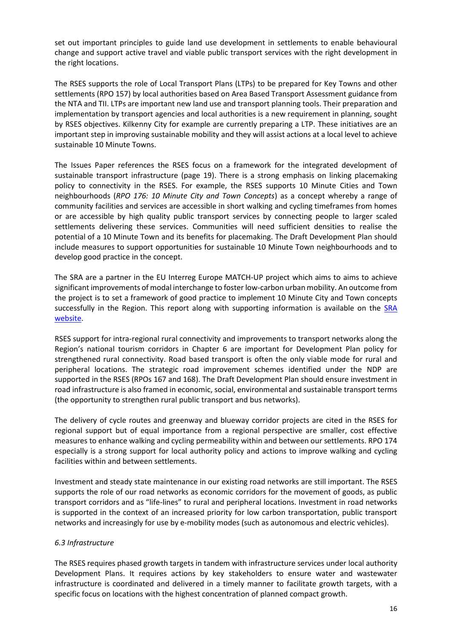set out important principles to guide land use development in settlements to enable behavioural change and support active travel and viable public transport services with the right development in the right locations.

The RSES supports the role of Local Transport Plans (LTPs) to be prepared for Key Towns and other settlements (RPO 157) by local authorities based on Area Based Transport Assessment guidance from the NTA and TII. LTPs are important new land use and transport planning tools. Their preparation and implementation by transport agencies and local authorities is a new requirement in planning, sought by RSES objectives. Kilkenny City for example are currently preparing a LTP. These initiatives are an important step in improving sustainable mobility and they will assist actions at a local level to achieve sustainable 10 Minute Towns.

The Issues Paper references the RSES focus on a framework for the integrated development of sustainable transport infrastructure (page 19). There is a strong emphasis on linking placemaking policy to connectivity in the RSES. For example, the RSES supports 10 Minute Cities and Town neighbourhoods (*RPO 176: 10 Minute City and Town Concepts*) as a concept whereby a range of community facilities and services are accessible in short walking and cycling timeframes from homes or are accessible by high quality public transport services by connecting people to larger scaled settlements delivering these services. Communities will need sufficient densities to realise the potential of a 10 Minute Town and its benefits for placemaking. The Draft Development Plan should include measures to support opportunities for sustainable 10 Minute Town neighbourhoods and to develop good practice in the concept.

The SRA are a partner in the EU Interreg Europe MATCH-UP project which aims to aims to achieve significant improvements of modal interchange to foster low-carbon urban mobility. An outcome from the project is to set a framework of good practice to implement 10 Minute City and Town concepts successfully in the Region. This report along with supporting information is available on the SRA [website.](https://www.southernassembly.ie/regional-planning/rses-implementation/10-minute-towns)

RSES support for intra-regional rural connectivity and improvements to transport networks along the Region's national tourism corridors in Chapter 6 are important for Development Plan policy for strengthened rural connectivity. Road based transport is often the only viable mode for rural and peripheral locations. The strategic road improvement schemes identified under the NDP are supported in the RSES (RPOs 167 and 168). The Draft Development Plan should ensure investment in road infrastructure is also framed in economic, social, environmental and sustainable transport terms (the opportunity to strengthen rural public transport and bus networks).

The delivery of cycle routes and greenway and blueway corridor projects are cited in the RSES for regional support but of equal importance from a regional perspective are smaller, cost effective measures to enhance walking and cycling permeability within and between our settlements. RPO 174 especially is a strong support for local authority policy and actions to improve walking and cycling facilities within and between settlements.

Investment and steady state maintenance in our existing road networks are still important. The RSES supports the role of our road networks as economic corridors for the movement of goods, as public transport corridors and as "life-lines" to rural and peripheral locations. Investment in road networks is supported in the context of an increased priority for low carbon transportation, public transport networks and increasingly for use by e-mobility modes (such as autonomous and electric vehicles).

### *6.3 Infrastructure*

The RSES requires phased growth targets in tandem with infrastructure services under local authority Development Plans. It requires actions by key stakeholders to ensure water and wastewater infrastructure is coordinated and delivered in a timely manner to facilitate growth targets, with a specific focus on locations with the highest concentration of planned compact growth.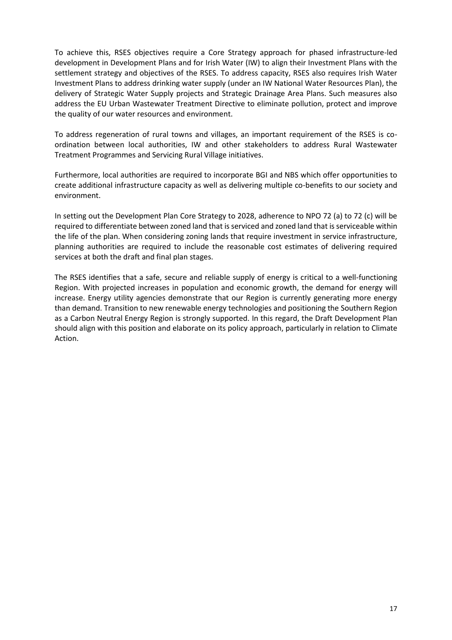To achieve this, RSES objectives require a Core Strategy approach for phased infrastructure-led development in Development Plans and for Irish Water (IW) to align their Investment Plans with the settlement strategy and objectives of the RSES. To address capacity, RSES also requires Irish Water Investment Plans to address drinking water supply (under an IW National Water Resources Plan), the delivery of Strategic Water Supply projects and Strategic Drainage Area Plans. Such measures also address the EU Urban Wastewater Treatment Directive to eliminate pollution, protect and improve the quality of our water resources and environment.

To address regeneration of rural towns and villages, an important requirement of the RSES is coordination between local authorities, IW and other stakeholders to address Rural Wastewater Treatment Programmes and Servicing Rural Village initiatives.

Furthermore, local authorities are required to incorporate BGI and NBS which offer opportunities to create additional infrastructure capacity as well as delivering multiple co-benefits to our society and environment.

In setting out the Development Plan Core Strategy to 2028, adherence to NPO 72 (a) to 72 (c) will be required to differentiate between zoned land that is serviced and zoned land that is serviceable within the life of the plan. When considering zoning lands that require investment in service infrastructure, planning authorities are required to include the reasonable cost estimates of delivering required services at both the draft and final plan stages.

The RSES identifies that a safe, secure and reliable supply of energy is critical to a well-functioning Region. With projected increases in population and economic growth, the demand for energy will increase. Energy utility agencies demonstrate that our Region is currently generating more energy than demand. Transition to new renewable energy technologies and positioning the Southern Region as a Carbon Neutral Energy Region is strongly supported. In this regard, the Draft Development Plan should align with this position and elaborate on its policy approach, particularly in relation to Climate Action.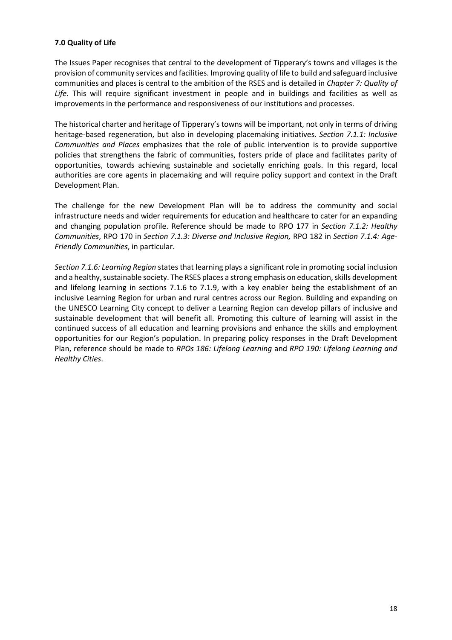### **7.0 Quality of Life**

The Issues Paper recognises that central to the development of Tipperary's towns and villages is the provision of community services and facilities. Improving quality of life to build and safeguard inclusive communities and places is central to the ambition of the RSES and is detailed in *Chapter 7: Quality of Life*. This will require significant investment in people and in buildings and facilities as well as improvements in the performance and responsiveness of our institutions and processes.

The historical charter and heritage of Tipperary's towns will be important, not only in terms of driving heritage-based regeneration, but also in developing placemaking initiatives. *Section 7.1.1: Inclusive Communities and Places* emphasizes that the role of public intervention is to provide supportive policies that strengthens the fabric of communities, fosters pride of place and facilitates parity of opportunities, towards achieving sustainable and societally enriching goals. In this regard, local authorities are core agents in placemaking and will require policy support and context in the Draft Development Plan.

The challenge for the new Development Plan will be to address the community and social infrastructure needs and wider requirements for education and healthcare to cater for an expanding and changing population profile. Reference should be made to RPO 177 in *Section 7.1.2: Healthy Communities*, RPO 170 in *Section 7.1.3: Diverse and Inclusive Region,* RPO 182 in *Section 7.1.4: Age-Friendly Communities*, in particular.

*Section 7.1.6: Learning Region* states that learning plays a significant role in promoting social inclusion and a healthy, sustainable society. The RSES places a strong emphasis on education, skills development and lifelong learning in sections 7.1.6 to 7.1.9, with a key enabler being the establishment of an inclusive Learning Region for urban and rural centres across our Region. Building and expanding on the UNESCO Learning City concept to deliver a Learning Region can develop pillars of inclusive and sustainable development that will benefit all. Promoting this culture of learning will assist in the continued success of all education and learning provisions and enhance the skills and employment opportunities for our Region's population. In preparing policy responses in the Draft Development Plan, reference should be made to *RPOs 186: Lifelong Learning* and *RPO 190: Lifelong Learning and Healthy Cities*.